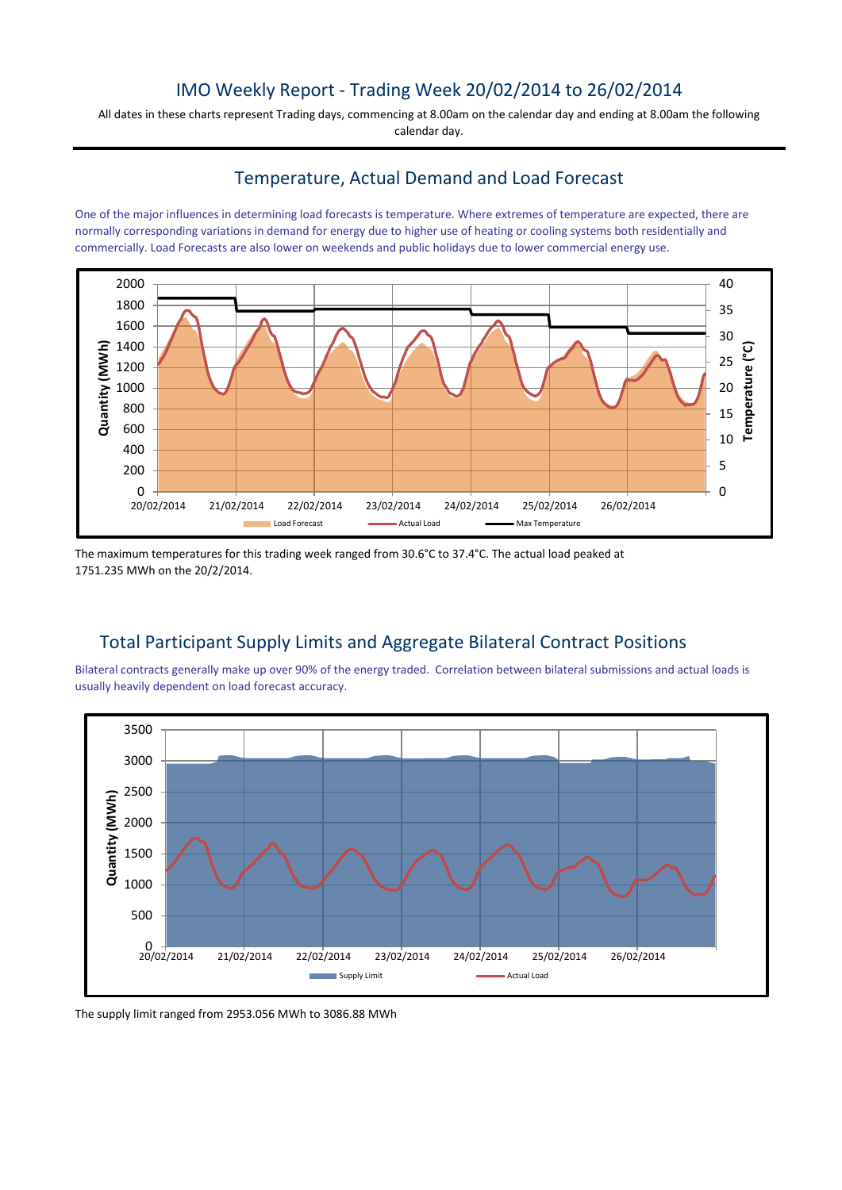### IMO Weekly Report - Trading Week 20/02/2014 to 26/02/2014

All dates in these charts represent Trading days, commencing at 8.00am on the calendar day and ending at 8.00am the following calendar day.

#### Temperature, Actual Demand and Load Forecast

One of the major influences in determining load forecasts is temperature. Where extremes of temperature are expected, there are normally corresponding variations in demand for energy due to higher use of heating or cooling systems both residentially and commercially. Load Forecasts are also lower on weekends and public holidays due to lower commercial energy use.



The maximum temperatures for this trading week ranged from 30.6°C to 37.4°C. The actual load peaked at 1751.235 MWh on the 20/2/2014.

# Total Participant Supply Limits and Aggregate Bilateral Contract Positions

Bilateral contracts generally make up over 90% of the energy traded. Correlation between bilateral submissions and actual loads is usually heavily dependent on load forecast accuracy.



The supply limit ranged from 2953.056 MWh to 3086.88 MWh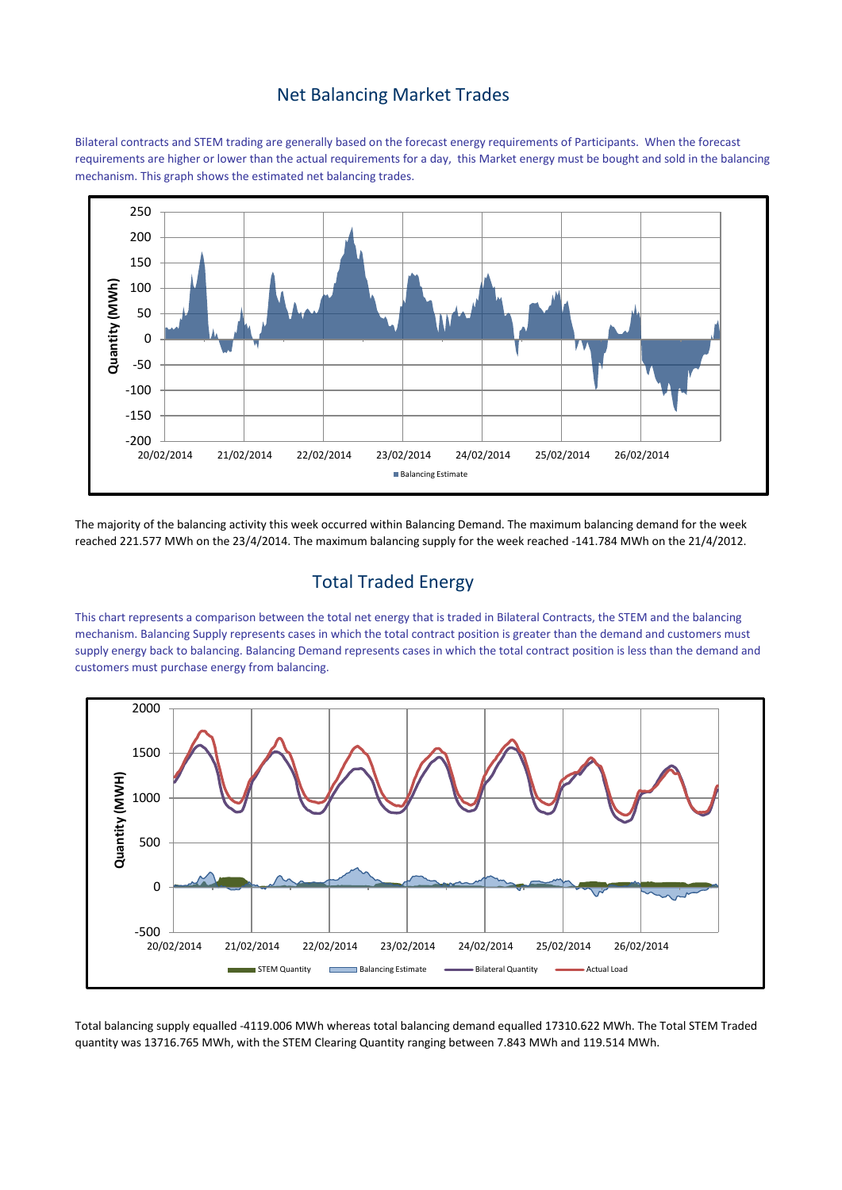#### Net Balancing Market Trades

Bilateral contracts and STEM trading are generally based on the forecast energy requirements of Participants. When the forecast requirements are higher or lower than the actual requirements for a day, this Market energy must be bought and sold in the balancing mechanism. This graph shows the estimated net balancing trades.



The majority of the balancing activity this week occurred within Balancing Demand. The maximum balancing demand for the week reached 221.577 MWh on the 23/4/2014. The maximum balancing supply for the week reached -141.784 MWh on the 21/4/2012.

## Total Traded Energy

This chart represents a comparison between the total net energy that is traded in Bilateral Contracts, the STEM and the balancing mechanism. Balancing Supply represents cases in which the total contract position is greater than the demand and customers must supply energy back to balancing. Balancing Demand represents cases in which the total contract position is less than the demand and customers must purchase energy from balancing.



Total balancing supply equalled -4119.006 MWh whereas total balancing demand equalled 17310.622 MWh. The Total STEM Traded quantity was 13716.765 MWh, with the STEM Clearing Quantity ranging between 7.843 MWh and 119.514 MWh.